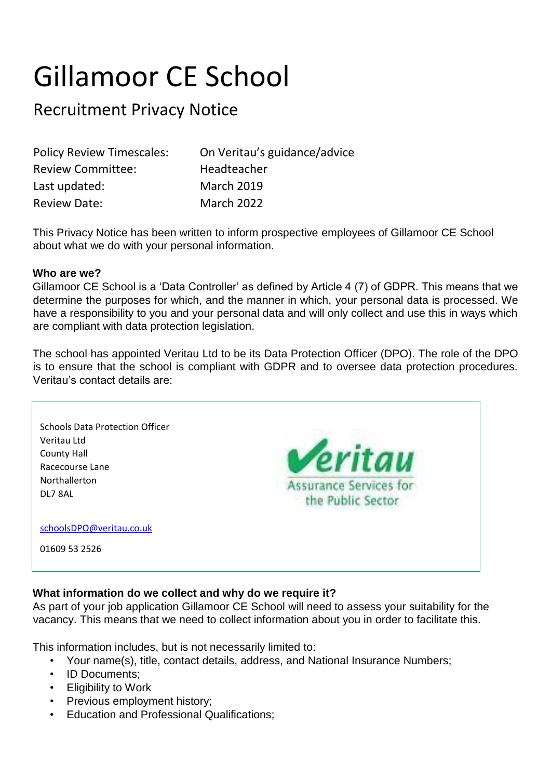# Gillamoor CE School

# Recruitment Privacy Notice

| <b>Policy Review Timescales:</b> | On Veritau's guidance/advice |
|----------------------------------|------------------------------|
| <b>Review Committee:</b>         | Headteacher                  |
| Last updated:                    | <b>March 2019</b>            |
| <b>Review Date:</b>              | <b>March 2022</b>            |

This Privacy Notice has been written to inform prospective employees of Gillamoor CE School about what we do with your personal information.

#### **Who are we?**

Gillamoor CE School is a 'Data Controller' as defined by Article 4 (7) of GDPR. This means that we determine the purposes for which, and the manner in which, your personal data is processed. We have a responsibility to you and your personal data and will only collect and use this in ways which are compliant with data protection legislation.

The school has appointed Veritau Ltd to be its Data Protection Officer (DPO). The role of the DPO is to ensure that the school is compliant with GDPR and to oversee data protection procedures. Veritau's contact details are:



### **What information do we collect and why do we require it?**

As part of your job application Gillamoor CE School will need to assess your suitability for the vacancy. This means that we need to collect information about you in order to facilitate this.

This information includes, but is not necessarily limited to:

- Your name(s), title, contact details, address, and National Insurance Numbers;
- ID Documents;
- Eligibility to Work
- Previous employment history;
- Education and Professional Qualifications;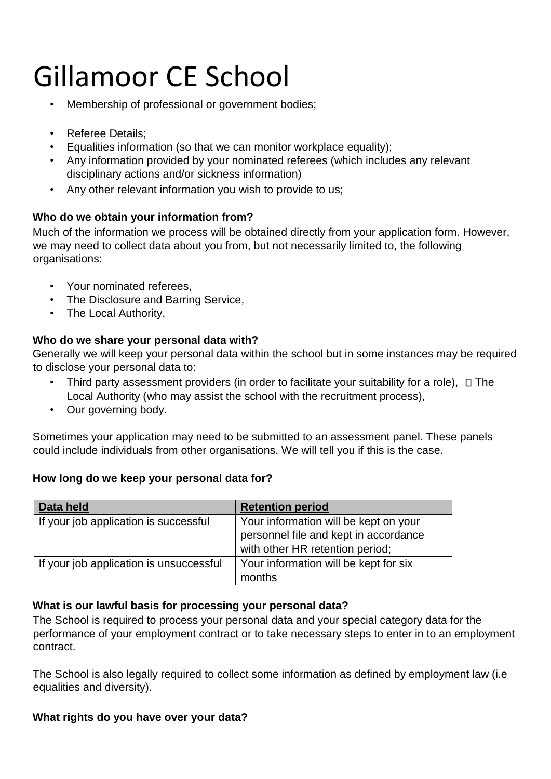# Gillamoor CE School

- Membership of professional or government bodies;
- Referee Details;
- Equalities information (so that we can monitor workplace equality);
- Any information provided by your nominated referees (which includes any relevant disciplinary actions and/or sickness information)
- Any other relevant information you wish to provide to us;

# **Who do we obtain your information from?**

Much of the information we process will be obtained directly from your application form. However, we may need to collect data about you from, but not necessarily limited to, the following organisations:

- Your nominated referees,
- The Disclosure and Barring Service,
- The Local Authority.

## **Who do we share your personal data with?**

Generally we will keep your personal data within the school but in some instances may be required to disclose your personal data to:

- Third party assessment providers (in order to facilitate your suitability for a role),  $\Box$  The Local Authority (who may assist the school with the recruitment process),
- Our governing body.

Sometimes your application may need to be submitted to an assessment panel. These panels could include individuals from other organisations. We will tell you if this is the case.

### **How long do we keep your personal data for?**

| Data held                               | <b>Retention period</b>                                                                                           |
|-----------------------------------------|-------------------------------------------------------------------------------------------------------------------|
| If your job application is successful   | Your information will be kept on your<br>personnel file and kept in accordance<br>with other HR retention period; |
| If your job application is unsuccessful | Your information will be kept for six<br>months                                                                   |

### **What is our lawful basis for processing your personal data?**

The School is required to process your personal data and your special category data for the performance of your employment contract or to take necessary steps to enter in to an employment contract.

The School is also legally required to collect some information as defined by employment law (i.e equalities and diversity).

### **What rights do you have over your data?**